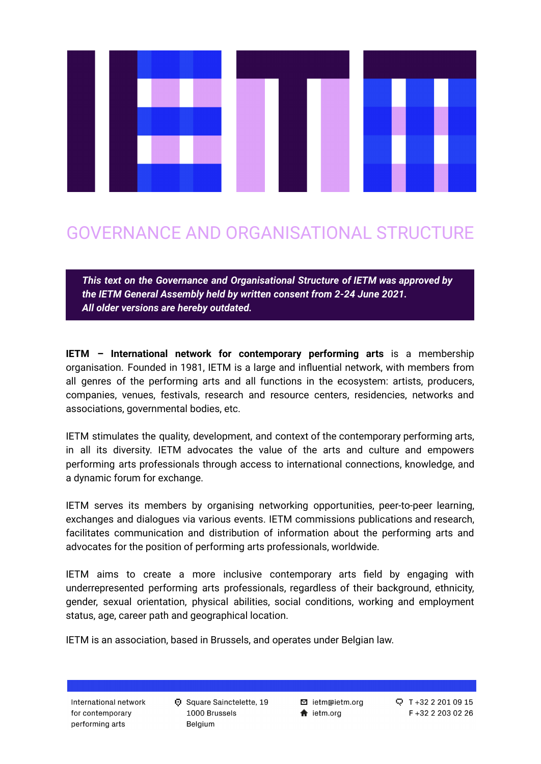

# GOVERNANCE AND ORGANISATIONAL STRUCTURE

*This text on the Governance and Organisational Structure of IETM was approved by the IETM General Assembly held by written consent from 2-24 June 2021. All older versions are hereby outdated.*

**IETM – International network for contemporary performing arts** is a membership organisation. Founded in 1981, IETM is a large and influential network, with members from all genres of the performing arts and all functions in the ecosystem: artists, producers, companies, venues, festivals, research and resource centers, residencies, networks and associations, governmental bodies, etc.

IETM stimulates the quality, development, and context of the contemporary performing arts, in all its diversity. IETM advocates the value of the arts and culture and empowers performing arts professionals through access to international connections, knowledge, and a dynamic forum for exchange.

IETM serves its members by organising networking opportunities, peer-to-peer learning, exchanges and dialogues via various events. IETM commissions publications and research, facilitates communication and distribution of information about the performing arts and advocates for the position of performing arts professionals, worldwide.

IETM aims to create a more inclusive contemporary arts field by engaging with underrepresented performing arts professionals, regardless of their background, ethnicity, gender, sexual orientation, physical abilities, social conditions, working and employment status, age, career path and geographical location.

IETM is an association, based in Brussels, and operates under Belgian law.

International network for contemporary performing arts

**D** Square Sainctelette, 19 1000 Brussels Belgium

**⊠** ietm@ietm.org  $\bigstar$  ietm.org

 $Q$  T +32 2 201 09 15 F+32 2 203 02 26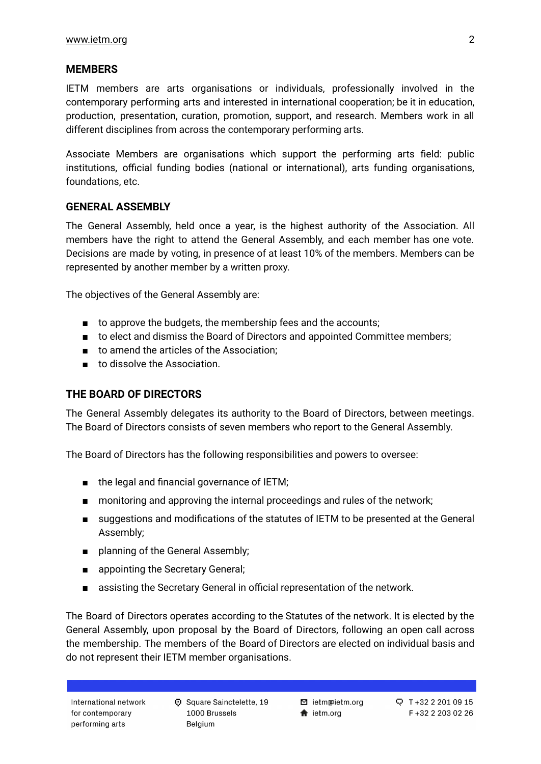### **MEMBERS**

IETM members are arts organisations or individuals, professionally involved in the contemporary performing arts and interested in international cooperation; be it in education, production, presentation, curation, promotion, support, and research. Members work in all different disciplines from across the contemporary performing arts.

Associate Members are organisations which support the performing arts field: public institutions, official funding bodies (national or international), arts funding organisations, foundations, etc.

## **GENERAL ASSEMBLY**

The General Assembly, held once a year, is the highest authority of the Association. All members have the right to attend the General Assembly, and each member has one vote. Decisions are made by voting, in presence of at least 10% of the members. Members can be represented by another member by a written proxy.

The objectives of the General Assembly are:

- to approve the budgets, the membership fees and the accounts;
- to elect and dismiss the Board of Directors and appointed Committee members;
- to amend the articles of the Association;
- to dissolve the Association.

### **THE BOARD OF DIRECTORS**

The General Assembly delegates its authority to the Board of Directors, between meetings. The Board of Directors consists of seven members who report to the General Assembly.

The Board of Directors has the following responsibilities and powers to oversee:

- the legal and financial governance of IETM;
- monitoring and approving the internal proceedings and rules of the network;
- suggestions and modifications of the statutes of IETM to be presented at the General Assembly;
- planning of the General Assembly;
- appointing the Secretary General;
- assisting the Secretary General in official representation of the network.

The Board of Directors operates according to the Statutes of the network. It is elected by the General Assembly, upon proposal by the Board of Directors, following an open call across the membership. The members of the Board of Directors are elected on individual basis and do not represent their IETM member organisations.

**⊠** ietm@ietm.org  $\bigstar$  ietm.org

Q T+32 2 201 09 15 F +32 2 203 02 26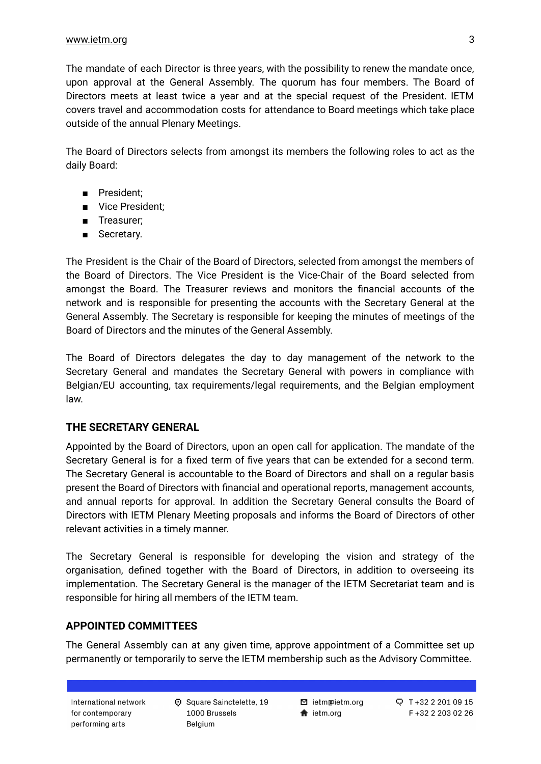The mandate of each Director is three years, with the possibility to renew the mandate once, upon approval at the General Assembly. The quorum has four members. The Board of Directors meets at least twice a year and at the special request of the President. IETM covers travel and accommodation costs for attendance to Board meetings which take place outside of the annual Plenary Meetings.

The Board of Directors selects from amongst its members the following roles to act as the daily Board:

- President;
- Vice President;
- Treasurer;
- Secretary.

The President is the Chair of the Board of Directors, selected from amongst the members of the Board of Directors. The Vice President is the Vice-Chair of the Board selected from amongst the Board. The Treasurer reviews and monitors the financial accounts of the network and is responsible for presenting the accounts with the Secretary General at the General Assembly. The Secretary is responsible for keeping the minutes of meetings of the Board of Directors and the minutes of the General Assembly.

The Board of Directors delegates the day to day management of the network to the Secretary General and mandates the Secretary General with powers in compliance with Belgian/EU accounting, tax requirements/legal requirements, and the Belgian employment law.

#### **THE SECRETARY GENERAL**

Appointed by the Board of Directors, upon an open call for application. The mandate of the Secretary General is for a fixed term of five years that can be extended for a second term. The Secretary General is accountable to the Board of Directors and shall on a regular basis present the Board of Directors with financial and operational reports, management accounts, and annual reports for approval. In addition the Secretary General consults the Board of Directors with IETM Plenary Meeting proposals and informs the Board of Directors of other relevant activities in a timely manner.

The Secretary General is responsible for developing the vision and strategy of the organisation, defined together with the Board of Directors, in addition to overseeing its implementation. The Secretary General is the manager of the IETM Secretariat team and is responsible for hiring all members of the IETM team.

#### **APPOINTED COMMITTEES**

The General Assembly can at any given time, approve appointment of a Committee set up permanently or temporarily to serve the IETM membership such as the Advisory Committee.

International network for contemporary performing arts

**D** Square Sainctelette, 19 1000 Brussels Belgium

**■** ietm@ietm.org  $\bigstar$  ietm.org

Q T+32 2 201 09 15 F +32 2 203 02 26